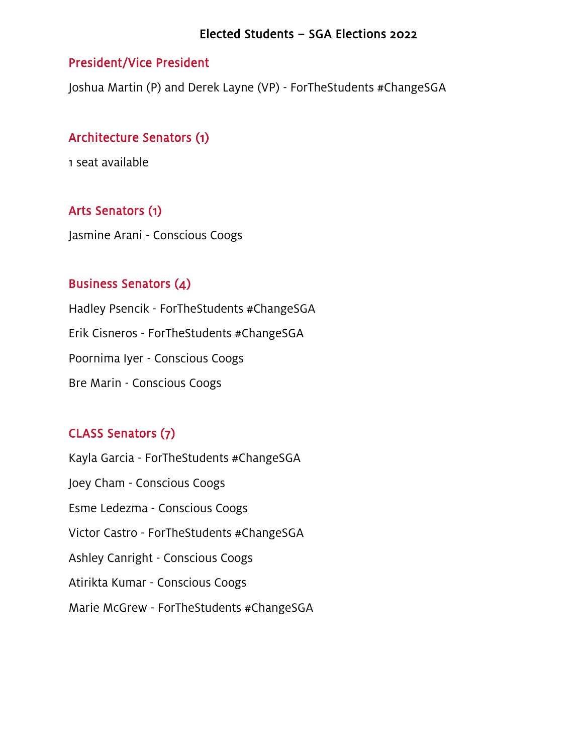#### Elected Students – SGA Elections 2022

### President/Vice President

Joshua Martin (P) and Derek Layne (VP) - ForTheStudents #ChangeSGA

## Architecture Senators (1)

1 seat available

# Arts Senators (1)

Jasmine Arani - Conscious Coogs

## Business Senators (4)

Hadley Psencik - ForTheStudents #ChangeSGA Erik Cisneros - ForTheStudents #ChangeSGA Poornima Iyer - Conscious Coogs Bre Marin - Conscious Coogs

# CLASS Senators (7)

Kayla Garcia - ForTheStudents #ChangeSGA Joey Cham - Conscious Coogs Esme Ledezma - Conscious Coogs Victor Castro - ForTheStudents #ChangeSGA Ashley Canright - Conscious Coogs Atirikta Kumar - Conscious Coogs Marie McGrew - ForTheStudents #ChangeSGA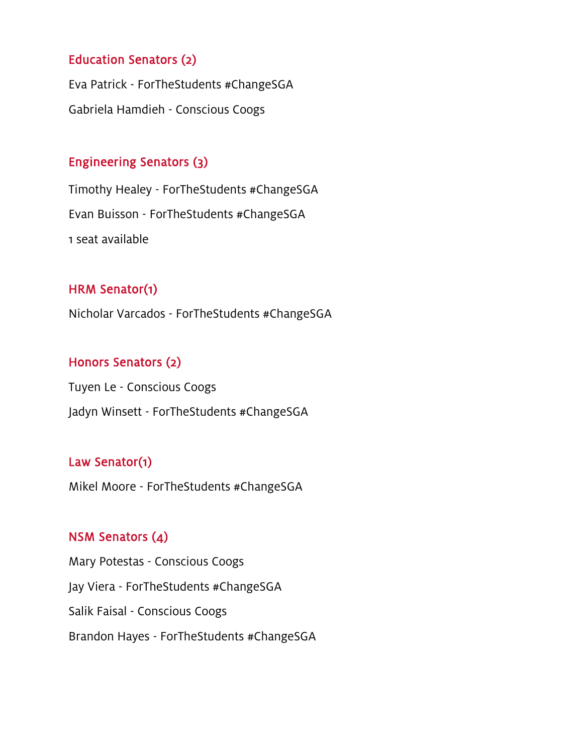## Education Senators (2)

Eva Patrick - ForTheStudents #ChangeSGA Gabriela Hamdieh - Conscious Coogs

#### Engineering Senators (3)

Timothy Healey - ForTheStudents #ChangeSGA Evan Buisson - ForTheStudents #ChangeSGA 1 seat available

#### HRM Senator(1)

Nicholar Varcados - ForTheStudents #ChangeSGA

#### Honors Senators (2)

Tuyen Le - Conscious Coogs Jadyn Winsett - ForTheStudents #ChangeSGA

### Law Senator(1)

Mikel Moore - ForTheStudents #ChangeSGA

## NSM Senators (4)

Mary Potestas - Conscious Coogs Jay Viera - ForTheStudents #ChangeSGA Salik Faisal - Conscious Coogs Brandon Hayes - ForTheStudents #ChangeSGA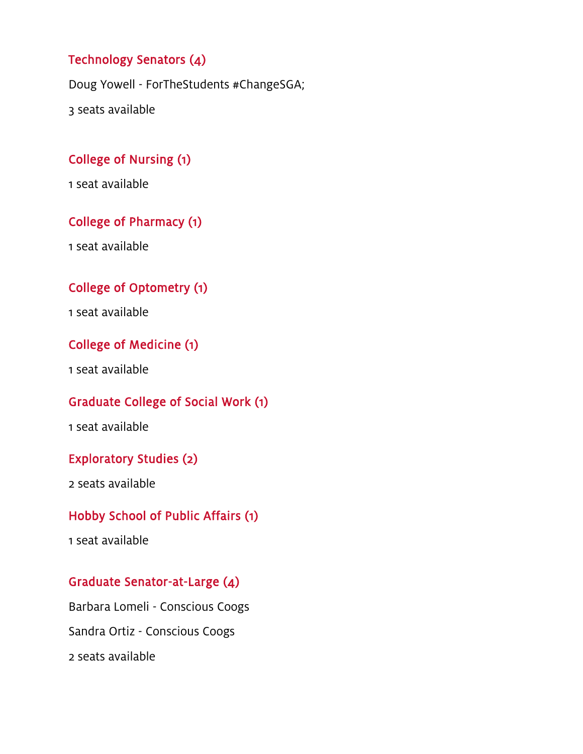# Technology Senators (4)

Doug Yowell - ForTheStudents #ChangeSGA;

3 seats available

# College of Nursing (1)

1 seat available

# College of Pharmacy (1)

1 seat available

# College of Optometry (1)

1 seat available

## College of Medicine (1)

1 seat available

### Graduate College of Social Work (1)

1 seat available

#### Exploratory Studies (2)

2 seats available

## Hobby School of Public Affairs (1)

1 seat available

#### Graduate Senator-at-Large (4)

Barbara Lomeli - Conscious Coogs Sandra Ortiz - Conscious Coogs 2 seats available